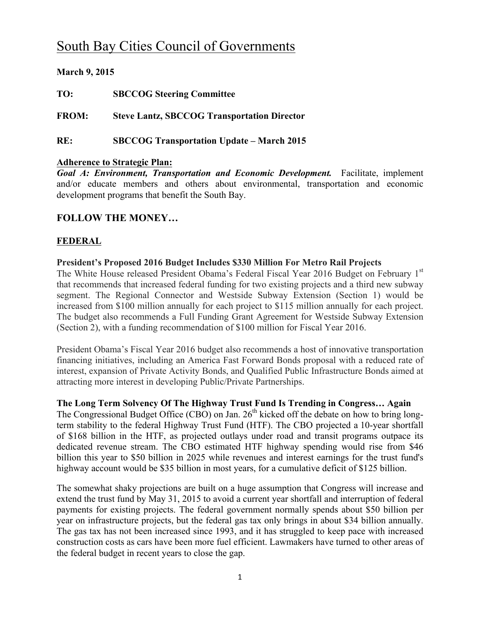# South Bay Cities Council of Governments

# **March 9, 2015**

**TO: SBCCOG Steering Committee**

**FROM: Steve Lantz, SBCCOG Transportation Director**

**RE: SBCCOG Transportation Update – March 2015**

#### **Adherence to Strategic Plan:**

*Goal A: Environment, Transportation and Economic Development.* Facilitate, implement and/or educate members and others about environmental, transportation and economic development programs that benefit the South Bay.

# **FOLLOW THE MONEY…**

# **FEDERAL**

# **President's Proposed 2016 Budget Includes \$330 Million For Metro Rail Projects**

The White House released President Obama's Federal Fiscal Year 2016 Budget on February 1st that recommends that increased federal funding for two existing projects and a third new subway segment. The Regional Connector and Westside Subway Extension (Section 1) would be increased from \$100 million annually for each project to \$115 million annually for each project. The budget also recommends a Full Funding Grant Agreement for Westside Subway Extension (Section 2), with a funding recommendation of \$100 million for Fiscal Year 2016.

President Obama's Fiscal Year 2016 budget also recommends a host of innovative transportation financing initiatives, including an America Fast Forward Bonds proposal with a reduced rate of interest, expansion of Private Activity Bonds, and Qualified Public Infrastructure Bonds aimed at attracting more interest in developing Public/Private Partnerships.

#### **The Long Term Solvency Of The Highway Trust Fund Is Trending in Congress… Again**

The Congressional Budget Office (CBO) on Jan.  $26<sup>th</sup>$  kicked off the debate on how to bring longterm stability to the federal Highway Trust Fund (HTF). The CBO projected a 10-year shortfall of \$168 billion in the HTF, as projected outlays under road and transit programs outpace its dedicated revenue stream. The CBO estimated HTF highway spending would rise from \$46 billion this year to \$50 billion in 2025 while revenues and interest earnings for the trust fund's highway account would be \$35 billion in most years, for a cumulative deficit of \$125 billion.

The somewhat shaky projections are built on a huge assumption that Congress will increase and extend the trust fund by May 31, 2015 to avoid a current year shortfall and interruption of federal payments for existing projects. The federal government normally spends about \$50 billion per year on infrastructure projects, but the federal gas tax only brings in about \$34 billion annually. The gas tax has not been increased since 1993, and it has struggled to keep pace with increased construction costs as cars have been more fuel efficient. Lawmakers have turned to other areas of the federal budget in recent years to close the gap.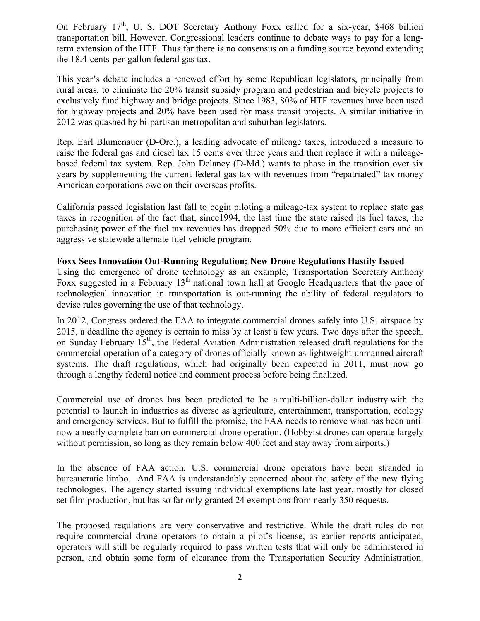On February  $17<sup>th</sup>$ , U. S. DOT Secretary Anthony Foxx called for a six-year, \$468 billion transportation bill. However, Congressional leaders continue to debate ways to pay for a longterm extension of the HTF. Thus far there is no consensus on a funding source beyond extending the 18.4-cents-per-gallon federal gas tax.

This year's debate includes a renewed effort by some Republican legislators, principally from rural areas, to eliminate the 20% transit subsidy program and pedestrian and bicycle projects to exclusively fund highway and bridge projects. Since 1983, 80% of HTF revenues have been used for highway projects and 20% have been used for mass transit projects. A similar initiative in 2012 was quashed by bi-partisan metropolitan and suburban legislators.

Rep. Earl Blumenauer (D-Ore.), a leading advocate of mileage taxes, introduced a measure to raise the federal gas and diesel tax 15 cents over three years and then replace it with a mileagebased federal tax system. Rep. John Delaney (D-Md.) wants to phase in the transition over six years by supplementing the current federal gas tax with revenues from "repatriated" tax money American corporations owe on their overseas profits.

California passed legislation last fall to begin piloting a mileage-tax system to replace state gas taxes in recognition of the fact that, since1994, the last time the state raised its fuel taxes, the purchasing power of the fuel tax revenues has dropped 50% due to more efficient cars and an aggressive statewide alternate fuel vehicle program.

#### **Foxx Sees Innovation Out-Running Regulation; New Drone Regulations Hastily Issued**

Using the emergence of drone technology as an example, Transportation Secretary Anthony Foxx suggested in a February 13<sup>th</sup> national town hall at Google Headquarters that the pace of technological innovation in transportation is out-running the ability of federal regulators to devise rules governing the use of that technology.

In 2012, Congress ordered the FAA to integrate commercial drones safely into U.S. airspace by 2015, a deadline the agency is certain to miss by at least a few years. Two days after the speech, on Sunday February 15<sup>th</sup>, the Federal Aviation Administration released draft regulations for the commercial operation of a category of drones officially known as lightweight unmanned aircraft systems. The draft regulations, which had originally been expected in 2011, must now go through a lengthy federal notice and comment process before being finalized.

Commercial use of drones has been predicted to be a multi-billion-dollar industry with the potential to launch in industries as diverse as agriculture, entertainment, transportation, ecology and emergency services. But to fulfill the promise, the FAA needs to remove what has been until now a nearly complete ban on commercial drone operation. (Hobbyist drones can operate largely without permission, so long as they remain below 400 feet and stay away from airports.)

In the absence of FAA action, U.S. commercial drone operators have been stranded in bureaucratic limbo. And FAA is understandably concerned about the safety of the new flying technologies. The agency started issuing individual exemptions late last year, mostly for closed set film production, but has so far only granted 24 exemptions from nearly 350 requests.

The proposed regulations are very conservative and restrictive. While the draft rules do not require commercial drone operators to obtain a pilot's license, as earlier reports anticipated, operators will still be regularly required to pass written tests that will only be administered in person, and obtain some form of clearance from the Transportation Security Administration.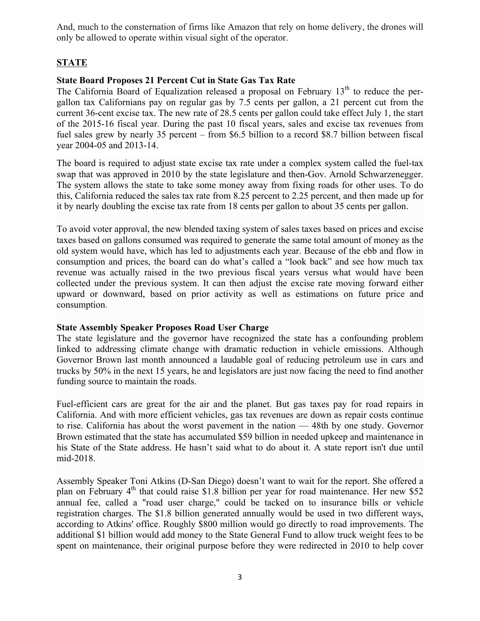And, much to the consternation of firms like Amazon that rely on home delivery, the drones will only be allowed to operate within visual sight of the operator.

# **STATE**

# **State Board Proposes 21 Percent Cut in State Gas Tax Rate**

The California Board of Equalization released a proposal on February  $13<sup>th</sup>$  to reduce the pergallon tax Californians pay on regular gas by 7.5 cents per gallon, a 21 percent cut from the current 36-cent excise tax. The new rate of 28.5 cents per gallon could take effect July 1, the start of the 2015-16 fiscal year. During the past 10 fiscal years, sales and excise tax revenues from fuel sales grew by nearly 35 percent – from \$6.5 billion to a record \$8.7 billion between fiscal year 2004-05 and 2013-14.

The board is required to adjust state excise tax rate under a complex system called the fuel-tax swap that was approved in 2010 by the state legislature and then-Gov. Arnold Schwarzenegger. The system allows the state to take some money away from fixing roads for other uses. To do this, California reduced the sales tax rate from 8.25 percent to 2.25 percent, and then made up for it by nearly doubling the excise tax rate from 18 cents per gallon to about 35 cents per gallon.

To avoid voter approval, the new blended taxing system of sales taxes based on prices and excise taxes based on gallons consumed was required to generate the same total amount of money as the old system would have, which has led to adjustments each year. Because of the ebb and flow in consumption and prices, the board can do what's called a "look back" and see how much tax revenue was actually raised in the two previous fiscal years versus what would have been collected under the previous system. It can then adjust the excise rate moving forward either upward or downward, based on prior activity as well as estimations on future price and consumption.

# **State Assembly Speaker Proposes Road User Charge**

The state legislature and the governor have recognized the state has a confounding problem linked to addressing climate change with dramatic reduction in vehicle emissions. Although Governor Brown last month announced a laudable goal of reducing petroleum use in cars and trucks by 50% in the next 15 years, he and legislators are just now facing the need to find another funding source to maintain the roads.

Fuel-efficient cars are great for the air and the planet. But gas taxes pay for road repairs in California. And with more efficient vehicles, gas tax revenues are down as repair costs continue to rise. California has about the worst pavement in the nation — 48th by one study. Governor Brown estimated that the state has accumulated \$59 billion in needed upkeep and maintenance in his State of the State address. He hasn't said what to do about it. A state report isn't due until mid-2018.

Assembly Speaker Toni Atkins (D-San Diego) doesn't want to wait for the report. She offered a plan on February  $4<sup>th</sup>$  that could raise \$1.8 billion per year for road maintenance. Her new \$52 annual fee, called a "road user charge," could be tacked on to insurance bills or vehicle registration charges. The \$1.8 billion generated annually would be used in two different ways, according to Atkins' office. Roughly \$800 million would go directly to road improvements. The additional \$1 billion would add money to the State General Fund to allow truck weight fees to be spent on maintenance, their original purpose before they were redirected in 2010 to help cover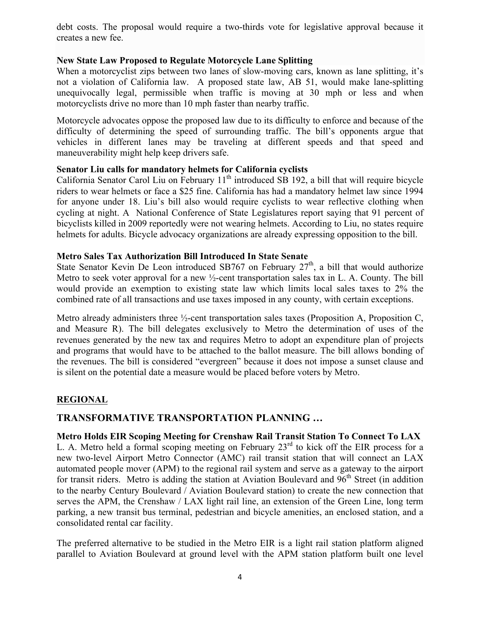debt costs. The proposal would require a two-thirds vote for legislative approval because it creates a new fee.

# **New State Law Proposed to Regulate Motorcycle Lane Splitting**

When a motorcyclist zips between two lanes of slow-moving cars, known as lane splitting, it's not a violation of California law. A proposed state law, AB 51, would make lane-splitting unequivocally legal, permissible when traffic is moving at 30 mph or less and when motorcyclists drive no more than 10 mph faster than nearby traffic.

Motorcycle advocates oppose the proposed law due to its difficulty to enforce and because of the difficulty of determining the speed of surrounding traffic. The bill's opponents argue that vehicles in different lanes may be traveling at different speeds and that speed and maneuverability might help keep drivers safe.

# **Senator Liu calls for mandatory helmets for California cyclists**

California Senator Carol Liu on February 11<sup>th</sup> introduced SB 192, a bill that will require bicycle riders to wear helmets or face a \$25 fine. California has had a mandatory helmet law since 1994 for anyone under 18. Liu's bill also would require cyclists to wear reflective clothing when cycling at night. A National Conference of State Legislatures report saying that 91 percent of bicyclists killed in 2009 reportedly were not wearing helmets. According to Liu, no states require helmets for adults. Bicycle advocacy organizations are already expressing opposition to the bill.

#### **Metro Sales Tax Authorization Bill Introduced In State Senate**

State Senator Kevin De Leon introduced SB767 on February  $27<sup>th</sup>$ , a bill that would authorize Metro to seek voter approval for a new ½-cent transportation sales tax in L. A. County. The bill would provide an exemption to existing state law which limits local sales taxes to 2% the combined rate of all transactions and use taxes imposed in any county, with certain exceptions.

Metro already administers three  $\frac{1}{2}$ -cent transportation sales taxes (Proposition A, Proposition C, and Measure R). The bill delegates exclusively to Metro the determination of uses of the revenues generated by the new tax and requires Metro to adopt an expenditure plan of projects and programs that would have to be attached to the ballot measure. The bill allows bonding of the revenues. The bill is considered "evergreen" because it does not impose a sunset clause and is silent on the potential date a measure would be placed before voters by Metro.

# **REGIONAL**

# **TRANSFORMATIVE TRANSPORTATION PLANNING …**

# **Metro Holds EIR Scoping Meeting for Crenshaw Rail Transit Station To Connect To LAX**

L. A. Metro held a formal scoping meeting on February  $23<sup>rd</sup>$  to kick off the EIR process for a new two-level Airport Metro Connector (AMC) rail transit station that will connect an LAX automated people mover (APM) to the regional rail system and serve as a gateway to the airport for transit riders. Metro is adding the station at Aviation Boulevard and  $96<sup>th</sup>$  Street (in addition to the nearby Century Boulevard / Aviation Boulevard station) to create the new connection that serves the APM, the Crenshaw / LAX light rail line, an extension of the Green Line, long term parking, a new transit bus terminal, pedestrian and bicycle amenities, an enclosed station, and a consolidated rental car facility.

The preferred alternative to be studied in the Metro EIR is a light rail station platform aligned parallel to Aviation Boulevard at ground level with the APM station platform built one level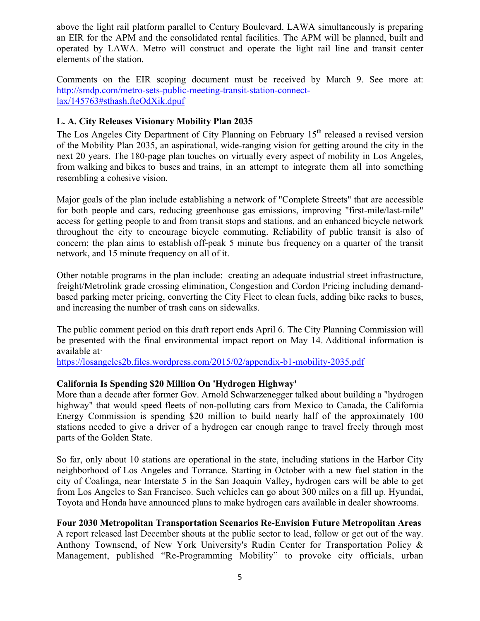above the light rail platform parallel to Century Boulevard. LAWA simultaneously is preparing an EIR for the APM and the consolidated rental facilities. The APM will be planned, built and operated by LAWA. Metro will construct and operate the light rail line and transit center elements of the station.

Comments on the EIR scoping document must be received by March 9. See more at: http://smdp.com/metro-sets-public-meeting-transit-station-connectlax/145763#sthash.fteOdXik.dpuf

# **L. A. City Releases Visionary Mobility Plan 2035**

The Los Angeles City Department of City Planning on February 15<sup>th</sup> released a revised version of the Mobility Plan 2035, an aspirational, wide-ranging vision for getting around the city in the next 20 years. The 180-page plan touches on virtually every aspect of mobility in Los Angeles, from walking and bikes to buses and trains, in an attempt to integrate them all into something resembling a cohesive vision.

Major goals of the plan include establishing a network of "Complete Streets" that are accessible for both people and cars, reducing greenhouse gas emissions, improving "first-mile/last-mile" access for getting people to and from transit stops and stations, and an enhanced bicycle network throughout the city to encourage bicycle commuting. Reliability of public transit is also of concern; the plan aims to establish off-peak 5 minute bus frequency on a quarter of the transit network, and 15 minute frequency on all of it.

Other notable programs in the plan include: creating an adequate industrial street infrastructure, freight/Metrolink grade crossing elimination, Congestion and Cordon Pricing including demandbased parking meter pricing, converting the City Fleet to clean fuels, adding bike racks to buses, and increasing the number of trash cans on sidewalks.

The public comment period on this draft report ends April 6. The City Planning Commission will be presented with the final environmental impact report on May 14. Additional information is available at·

https://losangeles2b.files.wordpress.com/2015/02/appendix-b1-mobility-2035.pdf

# **California Is Spending \$20 Million On 'Hydrogen Highway'**

More than a decade after former Gov. Arnold Schwarzenegger talked about building a "hydrogen highway" that would speed fleets of non-polluting cars from Mexico to Canada, the California Energy Commission is spending \$20 million to build nearly half of the approximately 100 stations needed to give a driver of a hydrogen car enough range to travel freely through most parts of the Golden State.

So far, only about 10 stations are operational in the state, including stations in the Harbor City neighborhood of Los Angeles and Torrance. Starting in October with a new fuel station in the city of Coalinga, near Interstate 5 in the San Joaquin Valley, hydrogen cars will be able to get from Los Angeles to San Francisco. Such vehicles can go about 300 miles on a fill up. Hyundai, Toyota and Honda have announced plans to make hydrogen cars available in dealer showrooms.

# **Four 2030 Metropolitan Transportation Scenarios Re-Envision Future Metropolitan Areas**

A report released last December shouts at the public sector to lead, follow or get out of the way. Anthony Townsend, of New York University's Rudin Center for Transportation Policy & Management, published "Re-Programming Mobility" to provoke city officials, urban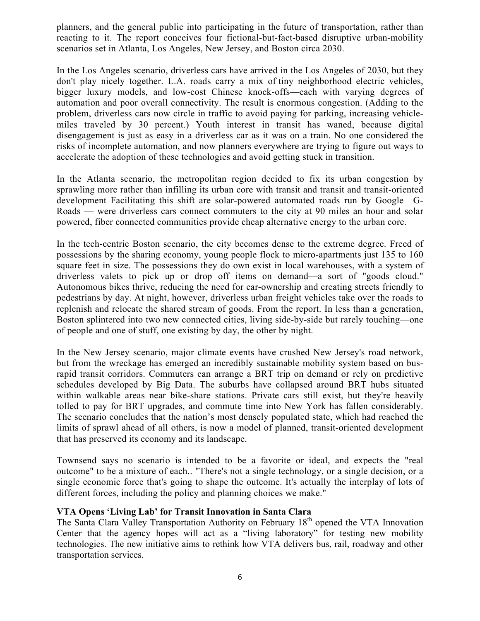planners, and the general public into participating in the future of transportation, rather than reacting to it. The report conceives four fictional-but-fact-based disruptive urban-mobility scenarios set in Atlanta, Los Angeles, New Jersey, and Boston circa 2030.

In the Los Angeles scenario, driverless cars have arrived in the Los Angeles of 2030, but they don't play nicely together. L.A. roads carry a mix of tiny neighborhood electric vehicles, bigger luxury models, and low-cost Chinese knock-offs—each with varying degrees of automation and poor overall connectivity. The result is enormous congestion. (Adding to the problem, driverless cars now circle in traffic to avoid paying for parking, increasing vehiclemiles traveled by 30 percent.) Youth interest in transit has waned, because digital disengagement is just as easy in a driverless car as it was on a train. No one considered the risks of incomplete automation, and now planners everywhere are trying to figure out ways to accelerate the adoption of these technologies and avoid getting stuck in transition.

In the Atlanta scenario, the metropolitan region decided to fix its urban congestion by sprawling more rather than infilling its urban core with transit and transit and transit-oriented development Facilitating this shift are solar-powered automated roads run by Google—G-Roads — were driverless cars connect commuters to the city at 90 miles an hour and solar powered, fiber connected communities provide cheap alternative energy to the urban core.

In the tech-centric Boston scenario, the city becomes dense to the extreme degree. Freed of possessions by the sharing economy, young people flock to micro-apartments just 135 to 160 square feet in size. The possessions they do own exist in local warehouses, with a system of driverless valets to pick up or drop off items on demand—a sort of "goods cloud." Autonomous bikes thrive, reducing the need for car-ownership and creating streets friendly to pedestrians by day. At night, however, driverless urban freight vehicles take over the roads to replenish and relocate the shared stream of goods. From the report. In less than a generation, Boston splintered into two new connected cities, living side-by-side but rarely touching—one of people and one of stuff, one existing by day, the other by night.

In the New Jersey scenario, major climate events have crushed New Jersey's road network, but from the wreckage has emerged an incredibly sustainable mobility system based on busrapid transit corridors. Commuters can arrange a BRT trip on demand or rely on predictive schedules developed by Big Data. The suburbs have collapsed around BRT hubs situated within walkable areas near bike-share stations. Private cars still exist, but they're heavily tolled to pay for BRT upgrades, and commute time into New York has fallen considerably. The scenario concludes that the nation's most densely populated state, which had reached the limits of sprawl ahead of all others, is now a model of planned, transit-oriented development that has preserved its economy and its landscape.

Townsend says no scenario is intended to be a favorite or ideal, and expects the "real outcome" to be a mixture of each.. "There's not a single technology, or a single decision, or a single economic force that's going to shape the outcome. It's actually the interplay of lots of different forces, including the policy and planning choices we make."

# **VTA Opens 'Living Lab' for Transit Innovation in Santa Clara**

The Santa Clara Valley Transportation Authority on February 18<sup>th</sup> opened the VTA Innovation Center that the agency hopes will act as a "living laboratory" for testing new mobility technologies. The new initiative aims to rethink how VTA delivers bus, rail, roadway and other transportation services.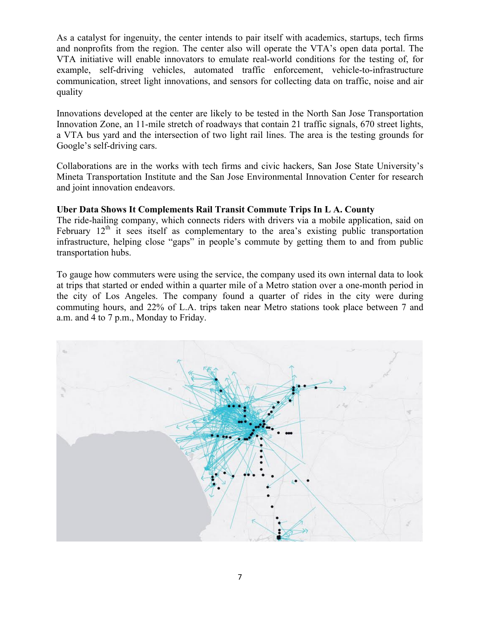As a catalyst for ingenuity, the center intends to pair itself with academics, startups, tech firms and nonprofits from the region. The center also will operate the VTA's open data portal. The VTA initiative will enable innovators to emulate real-world conditions for the testing of, for example, self-driving vehicles, automated traffic enforcement, vehicle-to-infrastructure communication, street light innovations, and sensors for collecting data on traffic, noise and air quality

Innovations developed at the center are likely to be tested in the North San Jose Transportation Innovation Zone, an 11-mile stretch of roadways that contain 21 traffic signals, 670 street lights, a VTA bus yard and the intersection of two light rail lines. The area is the testing grounds for Google's self-driving cars.

Collaborations are in the works with tech firms and civic hackers, San Jose State University's Mineta Transportation Institute and the San Jose Environmental Innovation Center for research and joint innovation endeavors.

# **Uber Data Shows It Complements Rail Transit Commute Trips In L A. County**

The ride-hailing company, which connects riders with drivers via a mobile application, said on February  $12<sup>th</sup>$  it sees itself as complementary to the area's existing public transportation infrastructure, helping close "gaps" in people's commute by getting them to and from public transportation hubs.

To gauge how commuters were using the service, the company used its own internal data to look at trips that started or ended within a quarter mile of a Metro station over a one-month period in the city of Los Angeles. The company found a quarter of rides in the city were during commuting hours, and 22% of L.A. trips taken near Metro stations took place between 7 and a.m. and 4 to 7 p.m., Monday to Friday.